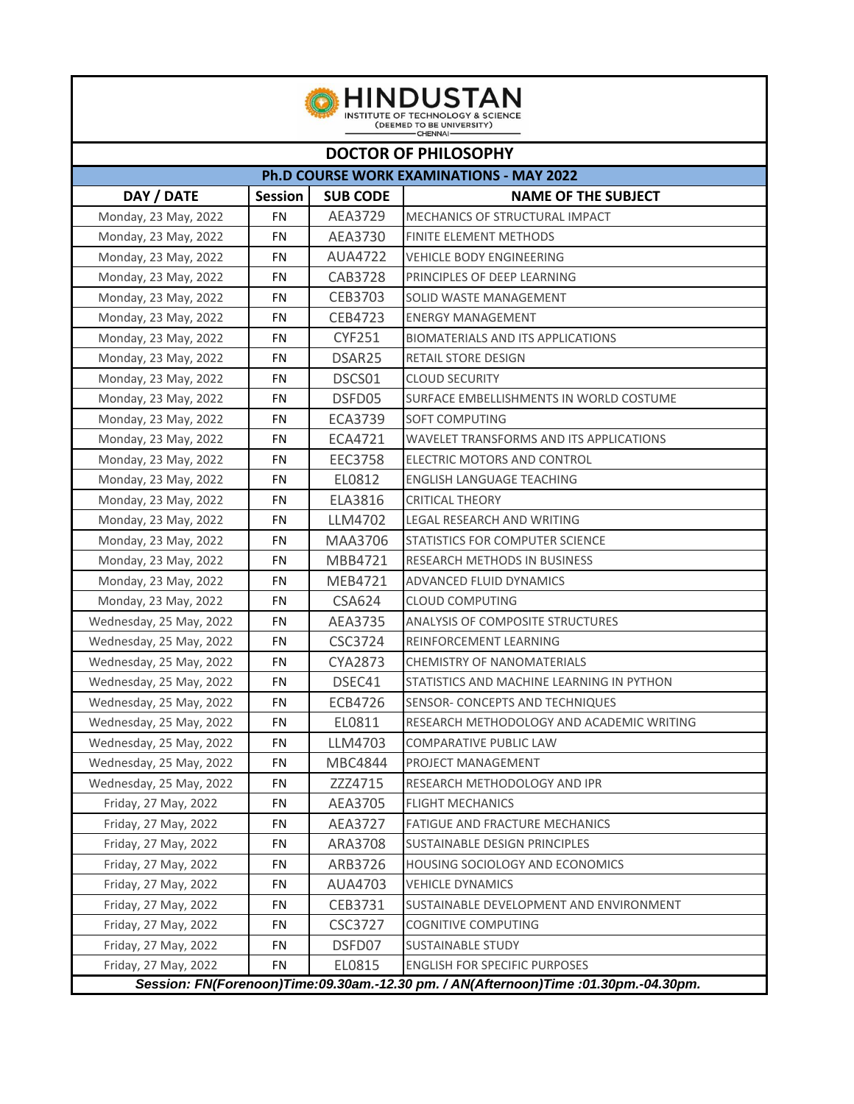| <b>HINDUSTAN</b><br>INSTITUTE OF TECHNOLOGY & SCIENCE<br>(DEEMED TO BE UNIVERSITY)<br>CHENNAI- |                |                    |                                           |  |  |  |  |
|------------------------------------------------------------------------------------------------|----------------|--------------------|-------------------------------------------|--|--|--|--|
| <b>DOCTOR OF PHILOSOPHY</b>                                                                    |                |                    |                                           |  |  |  |  |
| <b>Ph.D COURSE WORK EXAMINATIONS - MAY 2022</b>                                                |                |                    |                                           |  |  |  |  |
| DAY / DATE                                                                                     | <b>Session</b> | <b>SUB CODE</b>    | <b>NAME OF THE SUBJECT</b>                |  |  |  |  |
| Monday, 23 May, 2022                                                                           | FN             | AEA3729            | MECHANICS OF STRUCTURAL IMPACT            |  |  |  |  |
| Monday, 23 May, 2022                                                                           | <b>FN</b>      | AEA3730            | <b>FINITE ELEMENT METHODS</b>             |  |  |  |  |
| Monday, 23 May, 2022                                                                           | FN             | <b>AUA4722</b>     | <b>VEHICLE BODY ENGINEERING</b>           |  |  |  |  |
| Monday, 23 May, 2022                                                                           | FN             | CAB3728            | PRINCIPLES OF DEEP LEARNING               |  |  |  |  |
| Monday, 23 May, 2022                                                                           | FN             | CEB3703            | SOLID WASTE MANAGEMENT                    |  |  |  |  |
| Monday, 23 May, 2022                                                                           | FN             | CEB4723            | <b>ENERGY MANAGEMENT</b>                  |  |  |  |  |
| Monday, 23 May, 2022                                                                           | <b>FN</b>      | <b>CYF251</b>      | <b>BIOMATERIALS AND ITS APPLICATIONS</b>  |  |  |  |  |
| Monday, 23 May, 2022                                                                           | FN             | DSAR <sub>25</sub> | RETAIL STORE DESIGN                       |  |  |  |  |
| Monday, 23 May, 2022                                                                           | FN             | DSCS01             | <b>CLOUD SECURITY</b>                     |  |  |  |  |
| Monday, 23 May, 2022                                                                           | FN             | DSFD05             | SURFACE EMBELLISHMENTS IN WORLD COSTUME   |  |  |  |  |
| Monday, 23 May, 2022                                                                           | FN             | ECA3739            | SOFT COMPUTING                            |  |  |  |  |
| Monday, 23 May, 2022                                                                           | FN             | ECA4721            | WAVELET TRANSFORMS AND ITS APPLICATIONS   |  |  |  |  |
| Monday, 23 May, 2022                                                                           | FN             | EEC3758            | ELECTRIC MOTORS AND CONTROL               |  |  |  |  |
| Monday, 23 May, 2022                                                                           | <b>FN</b>      | EL0812             | ENGLISH LANGUAGE TEACHING                 |  |  |  |  |
| Monday, 23 May, 2022                                                                           | FN             | ELA3816            | <b>CRITICAL THEORY</b>                    |  |  |  |  |
| Monday, 23 May, 2022                                                                           | FN             | LLM4702            | LEGAL RESEARCH AND WRITING                |  |  |  |  |
| Monday, 23 May, 2022                                                                           | FN             | MAA3706            | STATISTICS FOR COMPUTER SCIENCE           |  |  |  |  |
| Monday, 23 May, 2022                                                                           | FN             | MBB4721            | RESEARCH METHODS IN BUSINESS              |  |  |  |  |
| Monday, 23 May, 2022                                                                           | FN             | MEB4721            | ADVANCED FLUID DYNAMICS                   |  |  |  |  |
| Monday, 23 May, 2022                                                                           | <b>FN</b>      | <b>CSA624</b>      | <b>CLOUD COMPUTING</b>                    |  |  |  |  |
| Wednesday, 25 May, 2022                                                                        | <b>FN</b>      | AEA3735            | <b>ANALYSIS OF COMPOSITE STRUCTURES</b>   |  |  |  |  |
| Wednesday, 25 May, 2022                                                                        | FN             | CSC3724            | REINFORCEMENT LEARNING                    |  |  |  |  |
| Wednesday, 25 May, 2022                                                                        | FN             | CYA2873            | <b>CHEMISTRY OF NANOMATERIALS</b>         |  |  |  |  |
| Wednesday, 25 May, 2022                                                                        | FN             | DSEC41             | STATISTICS AND MACHINE LEARNING IN PYTHON |  |  |  |  |
| Wednesday, 25 May, 2022                                                                        | FN             | ECB4726            | SENSOR- CONCEPTS AND TECHNIQUES           |  |  |  |  |
| Wednesday, 25 May, 2022                                                                        | FN             | EL0811             | RESEARCH METHODOLOGY AND ACADEMIC WRITING |  |  |  |  |
| Wednesday, 25 May, 2022                                                                        | FN             | LLM4703            | COMPARATIVE PUBLIC LAW                    |  |  |  |  |
| Wednesday, 25 May, 2022                                                                        | FN             | MBC4844            | PROJECT MANAGEMENT                        |  |  |  |  |
| Wednesday, 25 May, 2022                                                                        | FN             | ZZZ4715            | RESEARCH METHODOLOGY AND IPR              |  |  |  |  |
| Friday, 27 May, 2022                                                                           | FN             | AEA3705            | <b>FLIGHT MECHANICS</b>                   |  |  |  |  |
| Friday, 27 May, 2022                                                                           | FN             | AEA3727            | FATIGUE AND FRACTURE MECHANICS            |  |  |  |  |
| Friday, 27 May, 2022                                                                           | FN             | ARA3708            | SUSTAINABLE DESIGN PRINCIPLES             |  |  |  |  |
| Friday, 27 May, 2022                                                                           | FN             | ARB3726            | HOUSING SOCIOLOGY AND ECONOMICS           |  |  |  |  |
| Friday, 27 May, 2022                                                                           | FN             | AUA4703            | <b>VEHICLE DYNAMICS</b>                   |  |  |  |  |
| Friday, 27 May, 2022                                                                           | FN             | CEB3731            | SUSTAINABLE DEVELOPMENT AND ENVIRONMENT   |  |  |  |  |
| Friday, 27 May, 2022                                                                           | FN             | <b>CSC3727</b>     | <b>COGNITIVE COMPUTING</b>                |  |  |  |  |
| Friday, 27 May, 2022                                                                           | FN             | DSFD07             | <b>SUSTAINABLE STUDY</b>                  |  |  |  |  |
| Friday, 27 May, 2022                                                                           | <b>FN</b>      | EL0815             | <b>ENGLISH FOR SPECIFIC PURPOSES</b>      |  |  |  |  |

*Session: FN(Forenoon)Time:09.30am.-12.30 pm. / AN(Afternoon)Time :01.30pm.-04.30pm.*